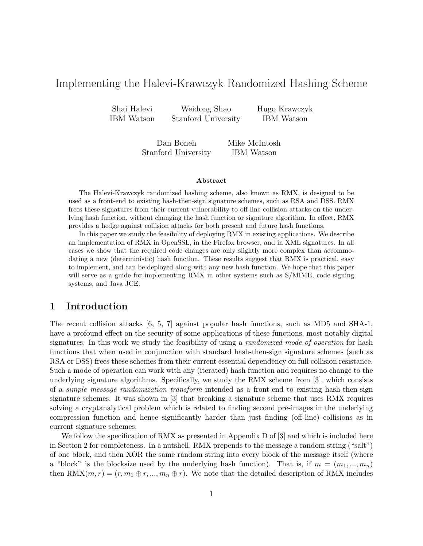# Implementing the Halevi-Krawczyk Randomized Hashing Scheme

Shai Halevi Weidong Shao Hugo Krawczyk IBM Watson Stanford University IBM Watson

> Dan Boneh Mike McIntosh Stanford University IBM Watson

#### Abstract

The Halevi-Krawczyk randomized hashing scheme, also known as RMX, is designed to be used as a front-end to existing hash-then-sign signature schemes, such as RSA and DSS. RMX frees these signatures from their current vulnerability to off-line collision attacks on the underlying hash function, without changing the hash function or signature algorithm. In effect, RMX provides a hedge against collision attacks for both present and future hash functions.

In this paper we study the feasibility of deploying RMX in existing applications. We describe an implementation of RMX in OpenSSL, in the Firefox browser, and in XML signatures. In all cases we show that the required code changes are only slightly more complex than accommodating a new (deterministic) hash function. These results suggest that RMX is practical, easy to implement, and can be deployed along with any new hash function. We hope that this paper will serve as a guide for implementing RMX in other systems such as S/MIME, code signing systems, and Java JCE.

## 1 Introduction

The recent collision attacks [6, 5, 7] against popular hash functions, such as MD5 and SHA-1, have a profound effect on the security of some applications of these functions, most notably digital signatures. In this work we study the feasibility of using a *randomized mode of operation* for hash functions that when used in conjunction with standard hash-then-sign signature schemes (such as RSA or DSS) frees these schemes from their current essential dependency on full collision resistance. Such a mode of operation can work with any (iterated) hash function and requires no change to the underlying signature algorithms. Specifically, we study the RMX scheme from [3], which consists of a simple message randomization transform intended as a front-end to existing hash-then-sign signature schemes. It was shown in [3] that breaking a signature scheme that uses RMX requires solving a cryptanalytical problem which is related to finding second pre-images in the underlying compression function and hence significantly harder than just finding (off-line) collisions as in current signature schemes.

We follow the specification of RMX as presented in Appendix D of [3] and which is included here in Section 2 for completeness. In a nutshell, RMX prepends to the message a random string ("salt") of one block, and then XOR the same random string into every block of the message itself (where a "block" is the blocksize used by the underlying hash function). That is, if  $m = (m_1, ..., m_n)$ then RMX $(m, r) = (r, m_1 \oplus r, ..., m_n \oplus r)$ . We note that the detailed description of RMX includes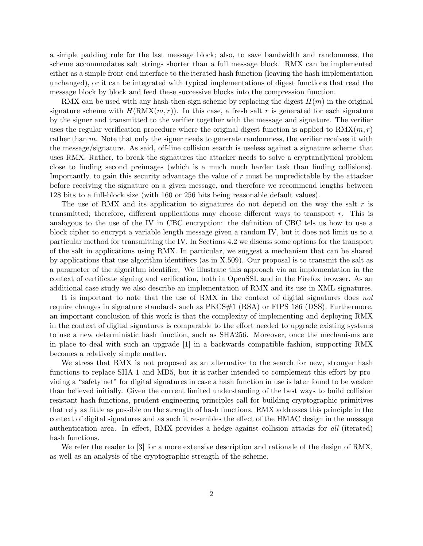a simple padding rule for the last message block; also, to save bandwidth and randomness, the scheme accommodates salt strings shorter than a full message block. RMX can be implemented either as a simple front-end interface to the iterated hash function (leaving the hash implementation unchanged), or it can be integrated with typical implementations of digest functions that read the message block by block and feed these successive blocks into the compression function.

RMX can be used with any hash-then-sign scheme by replacing the digest  $H(m)$  in the original signature scheme with  $H(\text{RMX}(m, r))$ . In this case, a fresh salt r is generated for each signature by the signer and transmitted to the verifier together with the message and signature. The verifier uses the regular verification procedure where the original digest function is applied to  $\text{RMX}(m, r)$ rather than m. Note that only the signer needs to generate randomness, the verifier receives it with the message/signature. As said, off-line collision search is useless against a signature scheme that uses RMX. Rather, to break the signatures the attacker needs to solve a cryptanalytical problem close to finding second preimages (which is a much much harder task than finding collisions). Importantly, to gain this security advantage the value of r must be unpredictable by the attacker before receiving the signature on a given message, and therefore we recommend lengths between 128 bits to a full-block size (with 160 or 256 bits being reasonable default values).

The use of RMX and its application to signatures do not depend on the way the salt  $r$  is transmitted; therefore, different applications may choose different ways to transport  $r$ . This is analogous to the use of the IV in CBC encryption: the definition of CBC tels us how to use a block cipher to encrypt a variable length message given a random IV, but it does not limit us to a particular method for transmitting the IV. In Sections 4.2 we discuss some options for the transport of the salt in applications using RMX. In particular, we suggest a mechanism that can be shared by applications that use algorithm identifiers (as in X.509). Our proposal is to transmit the salt as a parameter of the algorithm identifier. We illustrate this approach via an implementation in the context of certificate signing and verification, both in OpenSSL and in the Firefox browser. As an additional case study we also describe an implementation of RMX and its use in XML signatures.

It is important to note that the use of RMX in the context of digital signatures does not require changes in signature standards such as PKCS#1 (RSA) or FIPS 186 (DSS). Furthermore, an important conclusion of this work is that the complexity of implementing and deploying RMX in the context of digital signatures is comparable to the effort needed to upgrade existing systems to use a new deterministic hash function, such as SHA256. Moreover, once the mechanisms are in place to deal with such an upgrade [1] in a backwards compatible fashion, supporting RMX becomes a relatively simple matter.

We stress that RMX is not proposed as an alternative to the search for new, stronger hash functions to replace SHA-1 and MD5, but it is rather intended to complement this effort by providing a "safety net" for digital signatures in case a hash function in use is later found to be weaker than believed initially. Given the current limited understanding of the best ways to build collision resistant hash functions, prudent engineering principles call for building cryptographic primitives that rely as little as possible on the strength of hash functions. RMX addresses this principle in the context of digital signatures and as such it resembles the effect of the HMAC design in the message authentication area. In effect, RMX provides a hedge against collision attacks for all (iterated) hash functions.

We refer the reader to [3] for a more extensive description and rationale of the design of RMX, as well as an analysis of the cryptographic strength of the scheme.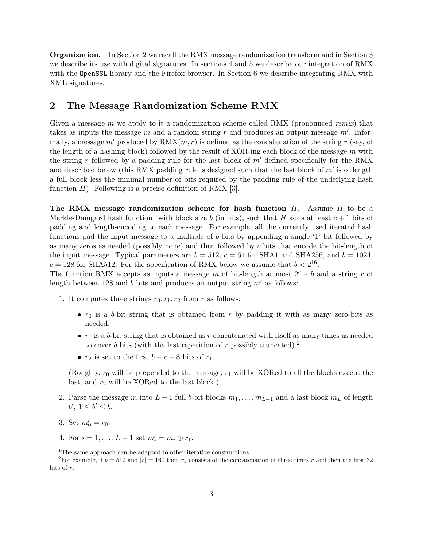Organization. In Section 2 we recall the RMX message randomization transform and in Section 3 we describe its use with digital signatures. In sections 4 and 5 we describe our integration of RMX with the OpenSSL library and the Firefox browser. In Section 6 we describe integrating RMX with XML signatures.

## 2 The Message Randomization Scheme RMX

Given a message m we apply to it a randomization scheme called RMX (pronounced remix) that takes as inputs the message m and a random string r and produces an output message  $m'$ . Informally, a message m' produced by  $\text{RMX}(m, r)$  is defined as the concatenation of the string r (say, of the length of a hashing block) followed by the result of XOR-ing each block of the message  $m$  with the string r followed by a padding rule for the last block of  $m'$  defined specifically for the RMX and described below (this RMX padding rule is designed such that the last block of  $m'$  is of length a full block less the minimal number of bits required by the padding rule of the underlying hash function  $H$ ). Following is a precise definition of RMX [3].

The RMX message randomization scheme for hash function  $H$ . Assume  $H$  to be a Merkle-Damgard hash function<sup>1</sup> with block size b (in bits), such that H adds at least  $c + 1$  bits of padding and length-encoding to each message. For example, all the currently used iterated hash functions pad the input message to a multiple of b bits by appending a single '1' bit followed by as many zeros as needed (possibly none) and then followed by  $c$  bits that encode the bit-length of the input message. Typical parameters are  $b = 512$ ,  $c = 64$  for SHA1 and SHA256, and  $b = 1024$ ,  $c = 128$  for SHA512. For the specification of RMX below we assume that  $b < 2^{16}$ .

The function RMX accepts as inputs a message m of bit-length at most  $2^c - b$  and a string r of length between 128 and b bits and produces an output string  $m'$  as follows:

- 1. It computes three strings  $r_0, r_1, r_2$  from r as follows:
	- $r_0$  is a b-bit string that is obtained from r by padding it with as many zero-bits as needed.
	- $r_1$  is a b-bit string that is obtained as r concatenated with itself as many times as needed to cover b bits (with the last repetition of r possibly truncated).<sup>2</sup>
	- $r_2$  is set to the first  $b c 8$  bits of  $r_1$ .

(Roughly,  $r_0$  will be prepended to the message,  $r_1$  will be XORed to all the blocks except the last, and  $r_2$  will be XORed to the last block.)

- 2. Parse the message m into  $L-1$  full b-bit blocks  $m_1, \ldots, m_{L-1}$  and a last block  $m_L$  of length  $b', 1 \leq b' \leq b.$
- 3. Set  $m'_0 = r_0$ .
- 4. For  $i = 1, ..., L 1$  set  $m'_i = m_i \oplus r_1$ .

<sup>&</sup>lt;sup>1</sup>The same approach can be adapted to other iterative constructions.

<sup>&</sup>lt;sup>2</sup>For example, if  $b = 512$  and  $|r| = 160$  then  $r_1$  consists of the concatenation of three times r and then the first 32 bits of r.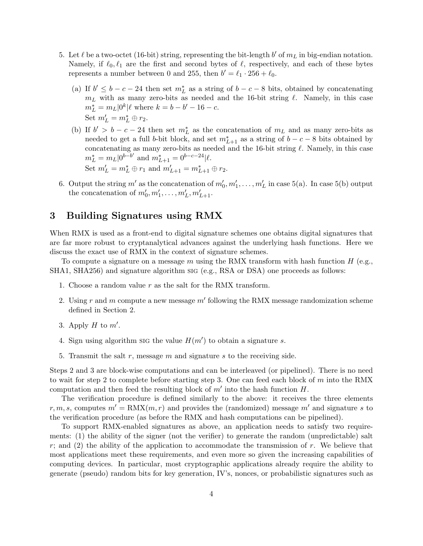- 5. Let  $\ell$  be a two-octet (16-bit) string, representing the bit-length  $b'$  of  $m<sub>L</sub>$  in big-endian notation. Namely, if  $\ell_0, \ell_1$  are the first and second bytes of  $\ell$ , respectively, and each of these bytes represents a number between 0 and 255, then  $b' = \ell_1 \cdot 256 + \ell_0$ .
	- (a) If  $b' \leq b c 24$  then set  $m<sub>L</sub><sup>*</sup>$  as a string of  $b c 8$  bits, obtained by concatenating  $m<sub>L</sub>$  with as many zero-bits as needed and the 16-bit string  $\ell$ . Namely, in this case  $m_L^* = m_L |0^k| \ell$  where  $k = b - b' - 16 - c$ . Set  $m'_L = m_L^* \oplus r_2$ .
	- (b) If  $b' > b c 24$  then set  $m<sub>L</sub><sup>*</sup>$  as the concatenation of  $m<sub>L</sub>$  and as many zero-bits as needed to get a full b-bit block, and set  $m_{L+1}^*$  as a string of  $b - c - 8$  bits obtained by concatenating as many zero-bits as needed and the 16-bit string  $\ell$ . Namely, in this case  $m_L^* = m_L|0^{b-b'}$  and  $m_{L+1}^* = 0^{b-c-24}|\ell.$ Set  $m'_L = m_L^* \oplus r_1$  and  $m'_{L+1} = m_{L+1}^* \oplus r_2$ .
- 6. Output the string m' as the concatenation of  $m'_0, m'_1, \ldots, m'_L$  in case 5(a). In case 5(b) output the concatenation of  $m'_0, m'_1, \ldots, m'_L, m'_{L+1}.$

# 3 Building Signatures using RMX

When RMX is used as a front-end to digital signature schemes one obtains digital signatures that are far more robust to cryptanalytical advances against the underlying hash functions. Here we discuss the exact use of RMX in the context of signature schemes.

To compute a signature on a message m using the RMX transform with hash function  $H$  (e.g., SHA1, SHA256) and signature algorithm sig (e.g., RSA or DSA) one proceeds as follows:

- 1. Choose a random value r as the salt for the RMX transform.
- 2. Using r and m compute a new message  $m'$  following the RMX message randomization scheme defined in Section 2.
- 3. Apply  $H$  to  $m'$ .
- 4. Sign using algorithm sig the value  $H(m')$  to obtain a signature s.
- 5. Transmit the salt  $r$ , message  $m$  and signature  $s$  to the receiving side.

Steps 2 and 3 are block-wise computations and can be interleaved (or pipelined). There is no need to wait for step 2 to complete before starting step 3. One can feed each block of  $m$  into the RMX computation and then feed the resulting block of  $m'$  into the hash function  $H$ .

The verification procedure is defined similarly to the above: it receives the three elements r, m, s, computes  $m' = \text{RMX}(m, r)$  and provides the (randomized) message m' and signature s to the verification procedure (as before the RMX and hash computations can be pipelined).

To support RMX-enabled signatures as above, an application needs to satisfy two requirements: (1) the ability of the signer (not the verifier) to generate the random (unpredictable) salt r; and (2) the ability of the application to accommodate the transmission of r. We believe that most applications meet these requirements, and even more so given the increasing capabilities of computing devices. In particular, most cryptographic applications already require the ability to generate (pseudo) random bits for key generation, IV's, nonces, or probabilistic signatures such as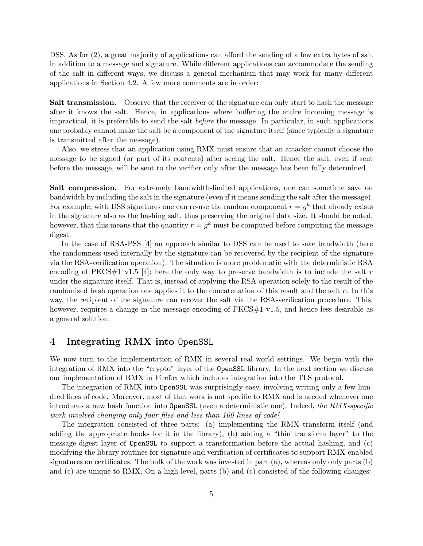DSS. As for (2), a great majority of applications can afford the sending of a few extra bytes of salt in addition to a message and signature. While different applications can accommodate the sending of the salt in different ways, we discuss a general mechanism that may work for many different applications in Section 4.2. A few more comments are in order:

Salt transmission. Observe that the receiver of the signature can only start to hash the message after it knows the salt. Hence, in applications where buffering the entire incoming message is impractical, it is preferable to send the salt before the message. In particular, in such applications one probably cannot make the salt be a component of the signature itself (since typically a signature is transmitted after the message).

Also, we stress that an application using RMX must ensure that an attacker cannot choose the message to be signed (or part of its contents) after seeing the salt. Hence the salt, even if sent before the message, will be sent to the verifier only after the message has been fully determined.

Salt compression. For extremely bandwidth-limited applications, one can sometime save on bandwidth by including the salt in the signature (even if it means sending the salt after the message). For example, with DSS signatures one can re-use the random component  $r = g^k$  that already exists in the signature also as the hashing salt, thus preserving the original data size. It should be noted, however, that this means that the quantity  $r = g^k$  must be computed before computing the message digest.

In the case of RSA-PSS [4] an approach similar to DSS can be used to save bandwidth (here the randomness used internally by the signature can be recovered by the recipient of the signature via the RSA-verification operation). The situation is more problematic with the deterministic RSA encoding of PKCS#1 v1.5 [4]; here the only way to preserve bandwidth is to include the salt r under the signature itself. That is, instead of applying the RSA operation solely to the result of the randomized hash operation one applies it to the concatenation of this result and the salt r. In this way, the recipient of the signature can recover the salt via the RSA-verification procedure. This, however, requires a change in the message encoding of PKCS#1 v1.5, and hence less desirable as a general solution.

### 4 Integrating RMX into OpenSSL

We now turn to the implementation of RMX in several real world settings. We begin with the integration of RMX into the "crypto" layer of the OpenSSL library. In the next section we discuss our implementation of RMX in Firefox which includes integration into the TLS protocol.

The integration of RMX into OpenSSL was surprisingly easy, involving writing only a few hundred lines of code. Moreover, most of that work is not specific to RMX and is needed whenever one introduces a new hash function into OpenSSL (even a deterministic one). Indeed, the RMX-specific work involved changing only four files and less than 100 lines of code!

The integration consisted of three parts: (a) implementing the RMX transform itself (and adding the appropriate hooks for it in the library), (b) adding a "thin transform layer" to the message-digest layer of OpenSSL to support a transformation before the actual hashing, and (c) modifying the library routines for signature and verification of certificates to support RMX-enabled signatures on certificates. The bulk of the work was invested in part (a), whereas only only parts (b) and (c) are unique to RMX. On a high level, parts (b) and (c) consisted of the following changes: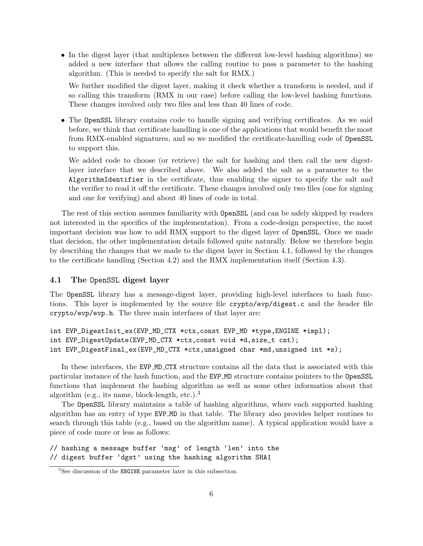• In the digest layer (that multiplexes between the different low-level hashing algorithms) we added a new interface that allows the calling routine to pass a parameter to the hashing algorithm. (This is needed to specify the salt for RMX.)

We further modified the digest layer, making it check whether a transform is needed, and if so calling this transform (RMX in our case) before calling the low-level hashing functions. These changes involved only two files and less than 40 lines of code.

• The OpenSSL library contains code to handle signing and verifying certificates. As we said before, we think that certificate handling is one of the applications that would benefit the most from RMX-enabled signatures, and so we modified the certificate-handling code of OpenSSL to support this.

We added code to choose (or retrieve) the salt for hashing and then call the new digestlayer interface that we described above. We also added the salt as a parameter to the AlgorithmIdentifier in the certificate, thus enabling the signer to specify the salt and the verifier to read it off the certificate. These changes involved only two files (one for signing and one for verifying) and about 40 lines of code in total.

The rest of this section assumes familiarity with OpenSSL (and can be safely skipped by readers not interested in the specifics of the implementation). From a code-design perspective, the most important decision was how to add RMX support to the digest layer of OpenSSL. Once we made that decision, the other implementation details followed quite naturally. Below we therefore begin by describing the changes that we made to the digest layer in Section 4.1, followed by the changes to the certificate handling (Section 4.2) and the RMX implementation itself (Section 4.3).

### 4.1 The OpenSSL digest layer

The OpenSSL library has a message-digest layer, providing high-level interfaces to hash functions. This layer is implemented by the source file crypto/evp/digest.c and the header file crypto/evp/evp.h. The three main interfaces of that layer are:

```
int EVP_DigestInit_ex(EVP_MD_CTX *ctx,const EVP_MD *type,ENGINE *impl);
int EVP_DigestUpdate(EVP_MD_CTX *ctx,const void *d,size_t cnt);
int EVP_DigestFinal_ex(EVP_MD_CTX *ctx,unsigned char *md,unsigned int *s);
```
In these interfaces, the EVP\_MD\_CTX structure contains all the data that is associated with this particular instance of the hash function, and the EVP MD structure contains pointers to the OpenSSL functions that implement the hashing algorithm as well as some other information about that algorithm (e.g., its name, block-length, etc.).<sup>3</sup>

The OpenSSL library maintains a table of hashing algorithms, where each supported hashing algorithm has an entry of type EVP MD in that table. The library also provides helper routines to search through this table (e.g., based on the algorithm name). A typical application would have a piece of code more or less as follows:

// hashing a message buffer 'msg' of length 'len' into the // digest buffer 'dgst' using the hashing algorithm SHA1

<sup>&</sup>lt;sup>3</sup>See discussion of the **ENGINE** parameter later in this subsection.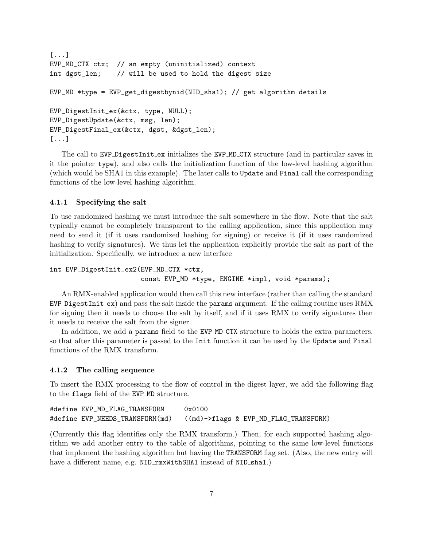```
[...]
EVP_MD_CTX ctx; // an empty (uninitialized) context
int dgst_len; // will be used to hold the digest size
EVP_MD *type = EVP_get_digestbynid(NID_sha1); // get algorithm details
EVP_DigestInit_ex(&ctx, type, NULL);
EVP_DigestUpdate(&ctx, msg, len);
EVP_DigestFinal_ex(&ctx, dgst, &dgst_len);
[...]
```
The call to EVP DigestInit ex initializes the EVP MD CTX structure (and in particular saves in it the pointer type), and also calls the initialization function of the low-level hashing algorithm (which would be SHA1 in this example). The later calls to Update and Final call the corresponding functions of the low-level hashing algorithm.

### 4.1.1 Specifying the salt

To use randomized hashing we must introduce the salt somewhere in the flow. Note that the salt typically cannot be completely transparent to the calling application, since this application may need to send it (if it uses randomized hashing for signing) or receive it (if it uses randomized hashing to verify signatures). We thus let the application explicitly provide the salt as part of the initialization. Specifically, we introduce a new interface

```
int EVP_DigestInit_ex2(EVP_MD_CTX *ctx,
                       const EVP_MD *type, ENGINE *impl, void *params);
```
An RMX-enabled application would then call this new interface (rather than calling the standard  $EVP\_{DigestInit\_ex}$  and pass the salt inside the params argument. If the calling routine uses RMX for signing then it needs to choose the salt by itself, and if it uses RMX to verify signatures then it needs to receive the salt from the signer.

In addition, we add a params field to the EVP\_MD\_CTX structure to holds the extra parameters, so that after this parameter is passed to the Init function it can be used by the Update and Final functions of the RMX transform.

#### 4.1.2 The calling sequence

To insert the RMX processing to the flow of control in the digest layer, we add the following flag to the flags field of the EVP MD structure.

```
#define EVP_MD_FLAG_TRANSFORM 0x0100
#define EVP_NEEDS_TRANSFORM(md) ((md)->flags & EVP_MD_FLAG_TRANSFORM)
```
(Currently this flag identifies only the RMX transform.) Then, for each supported hashing algorithm we add another entry to the table of algorithms, pointing to the same low-level functions that implement the hashing algorithm but having the TRANSFORM flag set. (Also, the new entry will have a different name, e.g. NID\_rmxWithSHA1 instead of NID\_sha1.)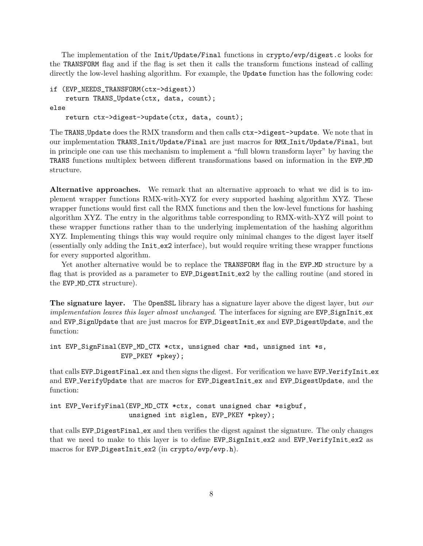The implementation of the Init/Update/Final functions in crypto/evp/digest.c looks for the TRANSFORM flag and if the flag is set then it calls the transform functions instead of calling directly the low-level hashing algorithm. For example, the Update function has the following code:

```
if (EVP_NEEDS_TRANSFORM(ctx->digest))
    return TRANS_Update(ctx, data, count);
else
    return ctx->digest->update(ctx, data, count);
```
The TRANS Update does the RMX transform and then calls ctx->digest->update. We note that in our implementation TRANS Init/Update/Final are just macros for RMX Init/Update/Final, but in principle one can use this mechanism to implement a "full blown transform layer" by having the TRANS functions multiplex between different transformations based on information in the EVP MD structure.

Alternative approaches. We remark that an alternative approach to what we did is to implement wrapper functions RMX-with-XYZ for every supported hashing algorithm XYZ. These wrapper functions would first call the RMX functions and then the low-level functions for hashing algorithm XYZ. The entry in the algorithms table corresponding to RMX-with-XYZ will point to these wrapper functions rather than to the underlying implementation of the hashing algorithm XYZ. Implementing things this way would require only minimal changes to the digest layer itself (essentially only adding the Init ex2 interface), but would require writing these wrapper functions for every supported algorithm.

Yet another alternative would be to replace the TRANSFORM flag in the EVP\_MD structure by a flag that is provided as a parameter to  $EVP\_\text{DigestInit\_ex2}$  by the calling routine (and stored in the EVP\_MD\_CTX structure).

The signature layer. The OpenSSL library has a signature layer above the digest layer, but our implementation leaves this layer almost unchanged. The interfaces for signing are  $EVP\text{-}SignInit\text{-}ex$ and EVP SignUpdate that are just macros for EVP DigestInit ex and EVP DigestUpdate, and the function:

```
int EVP_SignFinal(EVP_MD_CTX *ctx, unsigned char *md, unsigned int *s,
                  EVP_PKEY *pkey);
```
that calls EVP DigestFinal ex and then signs the digest. For verification we have EVP VerifyInit ex and EVP VerifyUpdate that are macros for EVP DigestInit ex and EVP DigestUpdate, and the function:

```
int EVP_VerifyFinal(EVP_MD_CTX *ctx, const unsigned char *sigbuf,
                    unsigned int siglen, EVP_PKEY *pkey);
```
that calls EVP DigestFinal ex and then verifies the digest against the signature. The only changes that we need to make to this layer is to define EVP\_SignInit\_ex2 and EVP\_VerifyInit\_ex2 as macros for EVP DigestInit ex2 (in crypto/evp/evp.h).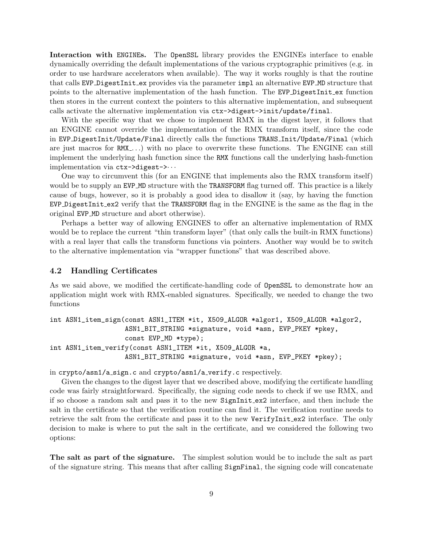Interaction with ENGINEs. The OpenSSL library provides the ENGINEs interface to enable dynamically overriding the default implementations of the various cryptographic primitives (e.g. in order to use hardware accelerators when available). The way it works roughly is that the routine that calls EVP DigestInit ex provides via the parameter impl an alternative EVP MD structure that points to the alternative implementation of the hash function. The EVP DigestInit ex function then stores in the current context the pointers to this alternative implementation, and subsequent calls activate the alternative implementation via ctx->digest->init/update/final.

With the specific way that we chose to implement RMX in the digest layer, it follows that an ENGINE cannot override the implementation of the RMX transform itself, since the code in EVP DigestInit/Update/Final directly calls the functions TRANS Init/Update/Final (which are just macros for RMX<sub>-</sub>...) with no place to overwrite these functions. The ENGINE can still implement the underlying hash function since the RMX functions call the underlying hash-function implementation via ctx->digest->· · ·

One way to circumvent this (for an ENGINE that implements also the RMX transform itself) would be to supply an EVP MD structure with the TRANSFORM flag turned off. This practice is a likely cause of bugs, however, so it is probably a good idea to disallow it (say, by having the function EVP DigestInit ex2 verify that the TRANSFORM flag in the ENGINE is the same as the flag in the original EVP MD structure and abort otherwise).

Perhaps a better way of allowing ENGINES to offer an alternative implementation of RMX would be to replace the current "thin transform layer" (that only calls the built-in RMX functions) with a real layer that calls the transform functions via pointers. Another way would be to switch to the alternative implementation via "wrapper functions" that was described above.

### 4.2 Handling Certificates

As we said above, we modified the certificate-handling code of OpenSSL to demonstrate how an application might work with RMX-enabled signatures. Specifically, we needed to change the two functions

```
int ASN1_item_sign(const ASN1_ITEM *it, X509_ALGOR *algor1, X509_ALGOR *algor2,
                   ASN1_BIT_STRING *signature, void *asn, EVP_PKEY *pkey,
                   const EVP_MD *type);
int ASN1_item_verify(const ASN1_ITEM *it, X509_ALGOR *a,
                   ASN1_BIT_STRING *signature, void *asn, EVP_PKEY *pkey);
```
in crypto/asn1/a sign.c and crypto/asn1/a verify.c respectively.

Given the changes to the digest layer that we described above, modifying the certificate handling code was fairly straightforward. Specifically, the signing code needs to check if we use RMX, and if so choose a random salt and pass it to the new SignInit ex2 interface, and then include the salt in the certificate so that the verification routine can find it. The verification routine needs to retrieve the salt from the certificate and pass it to the new VerifyInit\_ex2 interface. The only decision to make is where to put the salt in the certificate, and we considered the following two options:

The salt as part of the signature. The simplest solution would be to include the salt as part of the signature string. This means that after calling SignFinal, the signing code will concatenate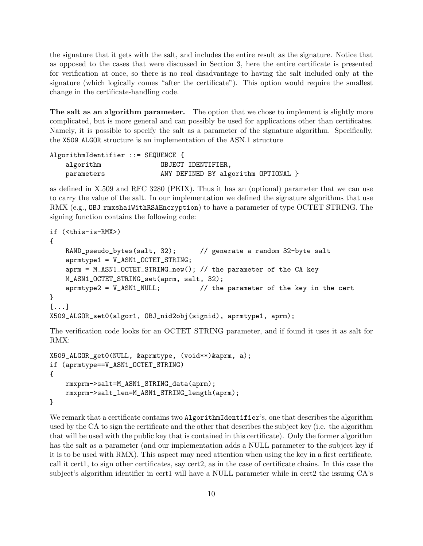the signature that it gets with the salt, and includes the entire result as the signature. Notice that as opposed to the cases that were discussed in Section 3, here the entire certificate is presented for verification at once, so there is no real disadvantage to having the salt included only at the signature (which logically comes "after the certificate"). This option would require the smallest change in the certificate-handling code.

The salt as an algorithm parameter. The option that we chose to implement is slightly more complicated, but is more general and can possibly be used for applications other than certificates. Namely, it is possible to specify the salt as a parameter of the signature algorithm. Specifically, the X509 ALGOR structure is an implementation of the ASN.1 structure

AlgorithmIdentifier ::= SEQUENCE { algorithm **OBJECT** IDENTIFIER, parameters MANY DEFINED BY algorithm OPTIONAL }

as defined in X.509 and RFC 3280 (PKIX). Thus it has an (optional) parameter that we can use to carry the value of the salt. In our implementation we defined the signature algorithms that use RMX (e.g., OBJ\_rmxsha1WithRSAEncryption) to have a parameter of type OCTET STRING. The signing function contains the following code:

```
if (<this-is-RMX>)
{
   RAND_pseudo_bytes(salt, 32); // generate a random 32-byte salt
   aprmtype1 = V_ASN1_OCTET_STRING;
   aprm = M_ASN1_OCTET_STRING_new(); // the parameter of the CA key
   M_ASN1_OCTET_STRING_set(aprm, salt, 32);
   aprmtype2 = V_ASN1_NULL; // the parameter of the key in the cert
}
[...]
X509_ALGOR_set0(algor1, OBJ_nid2obj(signid), aprmtype1, aprm);
```
The verification code looks for an OCTET STRING parameter, and if found it uses it as salt for RMX:

```
X509_ALGOR_get0(NULL, &aprmtype, (void**)&aprm, a);
if (aprmtype==V_ASN1_OCTET_STRING)
{
    rmxprm->salt=M_ASN1_STRING_data(aprm);
    rmxprm->salt_len=M_ASN1_STRING_length(aprm);
}
```
We remark that a certificate contains two AlgorithmIdentifier's, one that describes the algorithm used by the CA to sign the certificate and the other that describes the subject key (i.e. the algorithm that will be used with the public key that is contained in this certificate). Only the former algorithm has the salt as a parameter (and our implementation adds a NULL parameter to the subject key if it is to be used with RMX). This aspect may need attention when using the key in a first certificate, call it cert1, to sign other certificates, say cert2, as in the case of certificate chains. In this case the subject's algorithm identifier in cert1 will have a NULL parameter while in cert2 the issuing CA's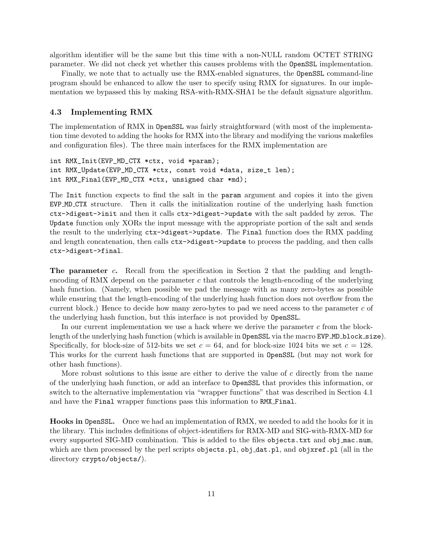algorithm identifier will be the same but this time with a non-NULL random OCTET STRING parameter. We did not check yet whether this causes problems with the OpenSSL implementation.

Finally, we note that to actually use the RMX-enabled signatures, the OpenSSL command-line program should be enhanced to allow the user to specify using RMX for signatures. In our implementation we bypassed this by making RSA-with-RMX-SHA1 be the default signature algorithm.

### 4.3 Implementing RMX

The implementation of RMX in OpenSSL was fairly straightforward (with most of the implementation time devoted to adding the hooks for RMX into the library and modifying the various makefiles and configuration files). The three main interfaces for the RMX implementation are

```
int RMX_Init(EVP_MD_CTX *ctx, void *param);
int RMX_Update(EVP_MD_CTX *ctx, const void *data, size_t len);
int RMX_Final(EVP_MD_CTX *ctx, unsigned char *md);
```
The Init function expects to find the salt in the param argument and copies it into the given EVP MD CTX structure. Then it calls the initialization routine of the underlying hash function ctx->digest->init and then it calls ctx->digest->update with the salt padded by zeros. The Update function only XORs the input message with the appropriate portion of the salt and sends the result to the underlying ctx->digest->update. The Final function does the RMX padding and length concatenation, then calls ctx->digest->update to process the padding, and then calls ctx->digest->final.

The parameter c. Recall from the specification in Section 2 that the padding and lengthencoding of RMX depend on the parameter  $c$  that controls the length-encoding of the underlying hash function. (Namely, when possible we pad the message with as many zero-bytes as possible while ensuring that the length-encoding of the underlying hash function does not overflow from the current block.) Hence to decide how many zero-bytes to pad we need access to the parameter  $c$  of the underlying hash function, but this interface is not provided by OpenSSL.

In our current implementation we use a hack where we derive the parameter  $c$  from the blocklength of the underlying hash function (which is available in OpenSSL via the macro EVP\_MD\_block\_size). Specifically, for block-size of 512-bits we set  $c = 64$ , and for block-size 1024 bits we set  $c = 128$ . This works for the current hash functions that are supported in OpenSSL (but may not work for other hash functions).

More robust solutions to this issue are either to derive the value of  $c$  directly from the name of the underlying hash function, or add an interface to OpenSSL that provides this information, or switch to the alternative implementation via "wrapper functions" that was described in Section 4.1 and have the Final wrapper functions pass this information to RMX Final.

Hooks in OpenSSL. Once we had an implementation of RMX, we needed to add the hooks for it in the library. This includes definitions of object-identifiers for RMX-MD and SIG-with-RMX-MD for every supported SIG-MD combination. This is added to the files objects.txt and obj\_mac.num, which are then processed by the perl scripts objects.pl, obj\_dat.pl, and objxref.pl (all in the directory crypto/objects/).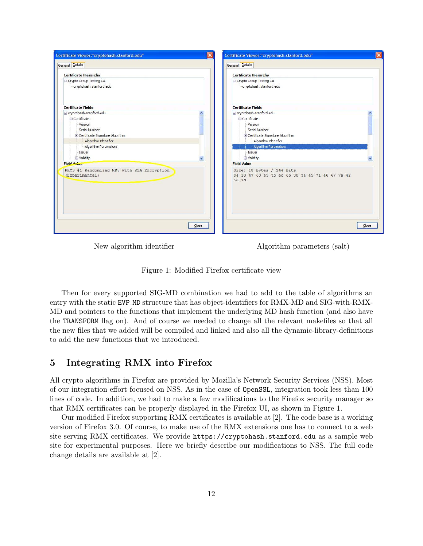| Certificate Viewer:"cryptohash.stanford.edu"<br>$\boldsymbol{\times}$                                                                                                                              | $\vert x \vert$<br>Certificate Viewer:"cryptohash.stanford.edu"                                                                                                                        |
|----------------------------------------------------------------------------------------------------------------------------------------------------------------------------------------------------|----------------------------------------------------------------------------------------------------------------------------------------------------------------------------------------|
| General Details                                                                                                                                                                                    | General Details                                                                                                                                                                        |
| <b>Certificate Hierarchy</b>                                                                                                                                                                       | <b>Certificate Hierarchy</b>                                                                                                                                                           |
| Crypto Group Testing CA<br>cryptohash.stanford.edu                                                                                                                                                 | Crypto Group Testing CA<br>cryptohash.stanford.edu                                                                                                                                     |
| <b>Certificate Fields</b>                                                                                                                                                                          | <b>Certificate Fields</b>                                                                                                                                                              |
| e cryptohash.stanford.edu<br>Certificate<br>Version<br>Serial Number<br>G Certificate Signature Algorithm<br>Algorithm Identifier<br>Algorithm Parameters<br>-Issuer<br>S Validity<br>$\checkmark$ | e cryptohash.stanford.edu<br>Certificate<br>Version<br>Serial Number<br>Certificate Signature Algorithm<br>Algorithm Identifier<br>Algorithm Parameters<br>Issuer<br><b>D</b> Validity |
| Field Malac                                                                                                                                                                                        | <b>Field Value</b>                                                                                                                                                                     |
| PKCS #1 Randomized MD5 With RSA Encryption<br>(Experimental)                                                                                                                                       | Size: 18 Bytes / 144 Bits<br>04 10 47 63 65 3b 6c 66 30 34 45 71 46 67 7a 42<br>56 2d                                                                                                  |
| $C$ lose                                                                                                                                                                                           | Close                                                                                                                                                                                  |

New algorithm identifier Algorithm parameters (salt)

Figure 1: Modified Firefox certificate view

Then for every supported SIG-MD combination we had to add to the table of algorithms an entry with the static EVP MD structure that has object-identifiers for RMX-MD and SIG-with-RMX-MD and pointers to the functions that implement the underlying MD hash function (and also have the TRANSFORM flag on). And of course we needed to change all the relevant makefiles so that all the new files that we added will be compiled and linked and also all the dynamic-library-definitions to add the new functions that we introduced.

# 5 Integrating RMX into Firefox

All crypto algorithms in Firefox are provided by Mozilla's Network Security Services (NSS). Most of our integration effort focused on NSS. As in the case of OpenSSL, integration took less than 100 lines of code. In addition, we had to make a few modifications to the Firefox security manager so that RMX certificates can be properly displayed in the Firefox UI, as shown in Figure 1.

Our modified Firefox supporting RMX certificates is available at [2]. The code base is a working version of Firefox 3.0. Of course, to make use of the RMX extensions one has to connect to a web site serving RMX certificates. We provide https://cryptohash.stanford.edu as a sample web site for experimental purposes. Here we briefly describe our modifications to NSS. The full code change details are available at [2].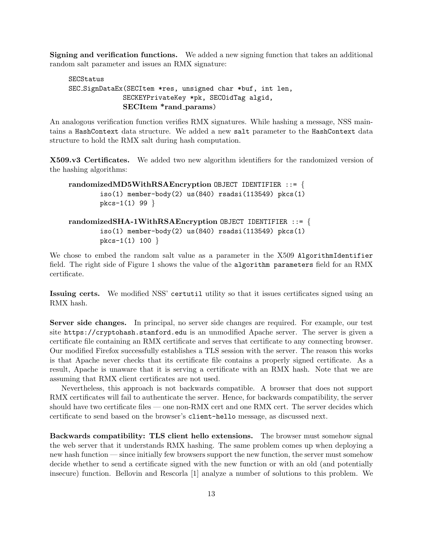Signing and verification functions. We added a new signing function that takes an additional random salt parameter and issues an RMX signature:

```
SECStatus
SEC SignDataEx(SECItem *res, unsigned char *buf, int len,
             SECKEYPrivateKey *pk, SECOidTag algid,
             SECItem *rand params)
```
An analogous verification function verifies RMX signatures. While hashing a message, NSS maintains a HashContext data structure. We added a new salt parameter to the HashContext data structure to hold the RMX salt during hash computation.

X509.v3 Certificates. We added two new algorithm identifiers for the randomized version of the hashing algorithms:

```
randomizedMD5WithRSAEncryption OBJECT IDENTIFIER ::= {
       iso(1) member-body(2) us(840) rsadsi(113549) pkcs(1)pkcs-1(1) 99 }
randomizedSHA-1WithRSAEncryption OBJECT IDENTIFIER ::= {
       iso(1) member-body(2) us(840) rsadsi(113549) pkcs(1)
       pkcs-1(1) 100 }
```
We chose to embed the random salt value as a parameter in the X509 AlgorithmIdentifier field. The right side of Figure 1 shows the value of the algorithm parameters field for an RMX certificate.

Issuing certs. We modified NSS' certutil utility so that it issues certificates signed using an RMX hash.

Server side changes. In principal, no server side changes are required. For example, our test site https://cryptohash.stanford.edu is an unmodified Apache server. The server is given a certificate file containing an RMX certificate and serves that certificate to any connecting browser. Our modified Firefox successfully establishes a TLS session with the server. The reason this works is that Apache never checks that its certificate file contains a properly signed certificate. As a result, Apache is unaware that it is serving a certificate with an RMX hash. Note that we are assuming that RMX client certificates are not used.

Nevertheless, this approach is not backwards compatible. A browser that does not support RMX certificates will fail to authenticate the server. Hence, for backwards compatibility, the server should have two certificate files — one non-RMX cert and one RMX cert. The server decides which certificate to send based on the browser's client-hello message, as discussed next.

Backwards compatibility: TLS client hello extensions. The browser must somehow signal the web server that it understands RMX hashing. The same problem comes up when deploying a new hash function — since initially few browsers support the new function, the server must somehow decide whether to send a certificate signed with the new function or with an old (and potentially insecure) function. Bellovin and Rescorla [1] analyze a number of solutions to this problem. We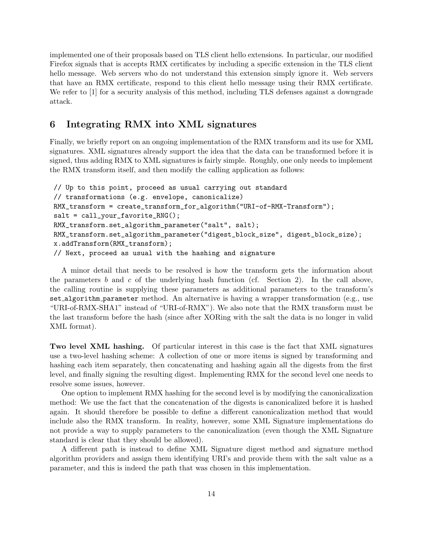implemented one of their proposals based on TLS client hello extensions. In particular, our modified Firefox signals that is accepts RMX certificates by including a specific extension in the TLS client hello message. Web servers who do not understand this extension simply ignore it. Web servers that have an RMX certificate, respond to this client hello message using their RMX certificate. We refer to [1] for a security analysis of this method, including TLS defenses against a downgrade attack.

# 6 Integrating RMX into XML signatures

Finally, we briefly report on an ongoing implementation of the RMX transform and its use for XML signatures. XML signatures already support the idea that the data can be transformed before it is signed, thus adding RMX to XML signatures is fairly simple. Roughly, one only needs to implement the RMX transform itself, and then modify the calling application as follows:

```
// Up to this point, proceed as usual carrying out standard
// transformations (e.g. envelope, canonicalize)
RMX_transform = create_transform_for_algorithm("URI-of-RMX-Transform");
salt = call_your_favorite_RNG();
RMX_transform.set_algorithm_parameter("salt", salt);
RMX_transform.set_algorithm_parameter("digest_block_size", digest_block_size);
x.addTransform(RMX_transform);
// Next, proceed as usual with the hashing and signature
```
A minor detail that needs to be resolved is how the transform gets the information about the parameters b and c of the underlying hash function (cf. Section 2). In the call above, the calling routine is supplying these parameters as additional parameters to the transform's set algorithm parameter method. An alternative is having a wrapper transformation (e.g., use "URI-of-RMX-SHA1" instead of "URI-of-RMX"). We also note that the RMX transform must be the last transform before the hash (since after XORing with the salt the data is no longer in valid XML format).

Two level XML hashing. Of particular interest in this case is the fact that XML signatures use a two-level hashing scheme: A collection of one or more items is signed by transforming and hashing each item separately, then concatenating and hashing again all the digests from the first level, and finally signing the resulting digest. Implementing RMX for the second level one needs to resolve some issues, however.

One option to implement RMX hashing for the second level is by modifying the canonicalization method: We use the fact that the concatenation of the digests is canonicalized before it is hashed again. It should therefore be possible to define a different canonicalization method that would include also the RMX transform. In reality, however, some XML Signature implementations do not provide a way to supply parameters to the canonicalization (even though the XML Signature standard is clear that they should be allowed).

A different path is instead to define XML Signature digest method and signature method algorithm providers and assign them identifying URI's and provide them with the salt value as a parameter, and this is indeed the path that was chosen in this implementation.